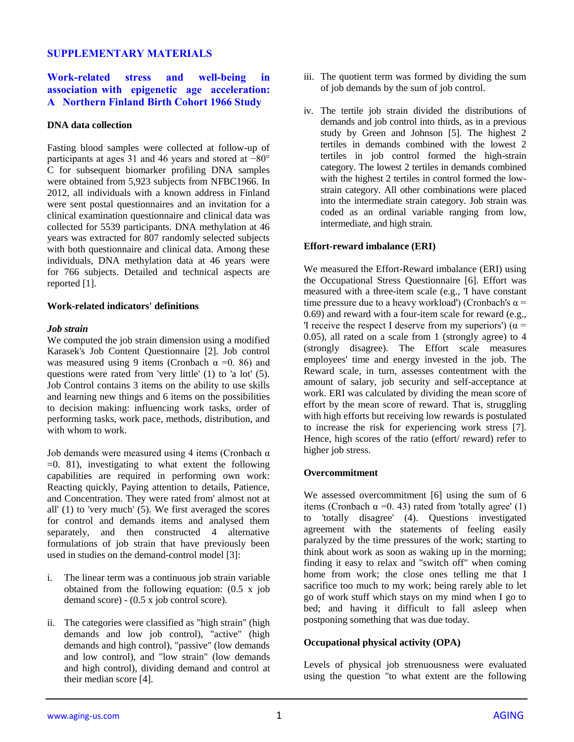## **SUPPLEMENTARY MATERIALS**

# **Work-related stress and well-being in association with epigenetic age acceleration: A Northern Finland Birth Cohort 1966 Study**

### **DNA data collection**

Fasting blood samples were collected at follow-up of participants at ages 31 and 46 years and stored at −80° C for subsequent biomarker profiling DNA samples were obtained from 5,923 subjects from NFBC1966. In 2012, all individuals with a known address in Finland were sent postal questionnaires and an invitation for a clinical examination questionnaire and clinical data was collected for 5539 participants. DNA methylation at 46 years was extracted for 807 randomly selected subjects with both questionnaire and clinical data. Among these individuals, DNA methylation data at 46 years were for 766 subjects. Detailed and technical aspects are reported [1].

### **Work-related indicators' definitions**

#### *Job strain*

We computed the job strain dimension using a modified Karasek's Job Content Questionnaire [2]. Job control was measured using 9 items (Cronbach  $\alpha$  =0. 86) and questions were rated from 'very little' (1) to 'a lot' (5). Job Control contains 3 items on the ability to use skills and learning new things and 6 items on the possibilities to decision making: influencing work tasks, order of performing tasks, work pace, methods, distribution, and with whom to work.

Job demands were measured using 4 items (Cronbach α  $=0.$  81), investigating to what extent the following capabilities are required in performing own work: Reacting quickly, Paying attention to details, Patience, and Concentration. They were rated from' almost not at all' (1) to 'very much' (5). We first averaged the scores for control and demands items and analysed them separately, and then constructed 4 alternative formulations of job strain that have previously been used in studies on the demand-control model [3]:

- i. The linear term was a continuous job strain variable obtained from the following equation: (0.5 x job demand score) - (0.5 x job control score).
- ii. The categories were classified as "high strain" (high demands and low job control), "active" (high demands and high control), "passive" (low demands and low control), and "low strain" (low demands and high control), dividing demand and control at their median score [4].
- iii. The quotient term was formed by dividing the sum of job demands by the sum of job control.
- iv. The tertile job strain divided the distributions of demands and job control into thirds, as in a previous study by Green and Johnson [5]. The highest 2 tertiles in demands combined with the lowest 2 tertiles in job control formed the high-strain category. The lowest 2 tertiles in demands combined with the highest 2 tertiles in control formed the lowstrain category. All other combinations were placed into the intermediate strain category. Job strain was coded as an ordinal variable ranging from low, intermediate, and high strain.

### **Effort-reward imbalance (ERI)**

We measured the Effort-Reward imbalance (ERI) using the Occupational Stress Questionnaire [6]. Effort was measured with a three-item scale (e.g., 'I have constant time pressure due to a heavy workload') (Cronbach's  $\alpha$  = 0.69) and reward with a four-item scale for reward (e.g., 'I receive the respect I deserve from my superiors') ( $\alpha$  = 0.05), all rated on a scale from 1 (strongly agree) to 4 (strongly disagree). The Effort scale measures employees' time and energy invested in the job. The Reward scale, in turn, assesses contentment with the amount of salary, job security and self-acceptance at work. ERI was calculated by dividing the mean score of effort by the mean score of reward. That is, struggling with high efforts but receiving low rewards is postulated to increase the risk for experiencing work stress [7]. Hence, high scores of the ratio (effort/ reward) refer to higher job stress.

#### **Overcommitment**

We assessed overcommitment [6] using the sum of 6 items (Cronbach  $\alpha = 0$ . 43) rated from 'totally agree' (1) to 'totally disagree' (4). Questions investigated agreement with the statements of feeling easily paralyzed by the time pressures of the work; starting to think about work as soon as waking up in the morning; finding it easy to relax and "switch off" when coming home from work; the close ones telling me that I sacrifice too much to my work; being rarely able to let go of work stuff which stays on my mind when I go to bed; and having it difficult to fall asleep when postponing something that was due today.

#### **Occupational physical activity (OPA)**

Levels of physical job strenuousness were evaluated using the question "to what extent are the following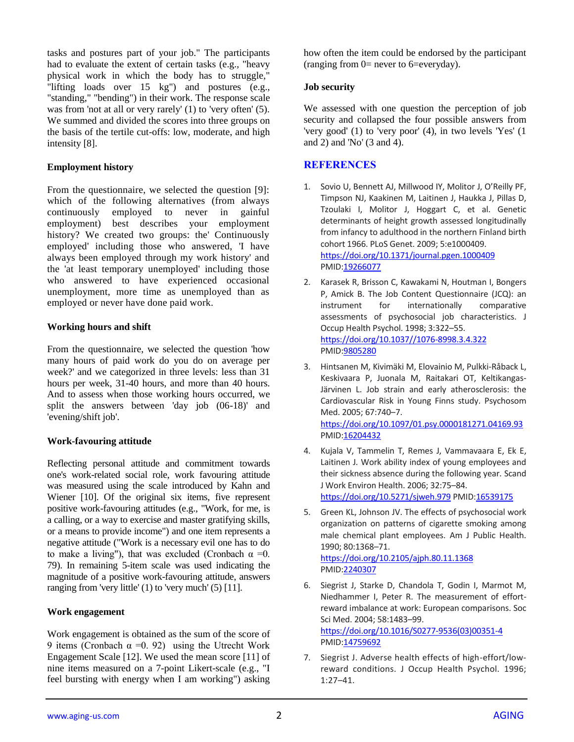tasks and postures part of your job." The participants had to evaluate the extent of certain tasks (e.g., "heavy physical work in which the body has to struggle," "lifting loads over 15 kg") and postures (e.g., "standing," "bending") in their work. The response scale was from 'not at all or very rarely' (1) to 'very often' (5). We summed and divided the scores into three groups on the basis of the tertile cut-offs: low, moderate, and high intensity [8].

### **Employment history**

From the questionnaire, we selected the question [9]: which of the following alternatives (from always continuously employed to never in gainful employment) best describes your employment history? We created two groups: the' Continuously employed' including those who answered, 'I have always been employed through my work history' and the 'at least temporary unemployed' including those who answered to have experienced occasional unemployment, more time as unemployed than as employed or never have done paid work.

# **Working hours and shift**

From the questionnaire, we selected the question 'how many hours of paid work do you do on average per week?' and we categorized in three levels: less than 31 hours per week, 31-40 hours, and more than 40 hours. And to assess when those working hours occurred, we split the answers between 'day job (06-18)' and 'evening/shift job'.

# **Work-favouring attitude**

Reflecting personal attitude and commitment towards one's work-related social role, work favouring attitude was measured using the scale introduced by Kahn and Wiener [10]. Of the original six items, five represent positive work-favouring attitudes (e.g., "Work, for me, is a calling, or a way to exercise and master gratifying skills, or a means to provide income") and one item represents a negative attitude ("Work is a necessary evil one has to do to make a living"), that was excluded (Cronbach  $\alpha = 0$ . 79). In remaining 5-item scale was used indicating the magnitude of a positive work-favouring attitude, answers ranging from 'very little' (1) to 'very much' (5) [11].

### **Work engagement**

Work engagement is obtained as the sum of the score of 9 items (Cronbach  $\alpha = 0.92$ ) using the Utrecht Work Engagement Scale [12]. We used the mean score [11] of nine items measured on a 7-point Likert-scale (e.g., "I feel bursting with energy when I am working") asking

how often the item could be endorsed by the participant (ranging from 0= never to 6=everyday).

## **Job security**

We assessed with one question the perception of job security and collapsed the four possible answers from 'very good' (1) to 'very poor' (4), in two levels 'Yes' (1 and 2) and 'No' (3 and 4).

# **REFERENCES**

- 1. Sovio U, Bennett AJ, Millwood IY, Molitor J, O'Reilly PF, Timpson NJ, Kaakinen M, Laitinen J, Haukka J, Pillas D, Tzoulaki I, Molitor J, Hoggart C, et al. Genetic determinants of height growth assessed longitudinally from infancy to adulthood in the northern Finland birth cohort 1966. PLoS Genet. 2009; 5:e1000409. <https://doi.org/10.1371/journal.pgen.1000409> PMI[D:19266077](https://pubmed.ncbi.nlm.nih.gov/19266077)
- 2. Karasek R, Brisson C, Kawakami N, Houtman I, Bongers P, Amick B. The Job Content Questionnaire (JCQ): an instrument for internationally comparative assessments of psychosocial job characteristics. J Occup Health Psychol. 1998; 3:322–55. [https://doi.org/10.1037//1076-8998.3.4.322](https://doi.org/10.1037/1076-8998.3.4.322) PMI[D:9805280](https://pubmed.ncbi.nlm.nih.gov/9805280)
- 3. Hintsanen M, Kivimäki M, Elovainio M, Pulkki-Råback L, Keskivaara P, Juonala M, Raitakari OT, Keltikangas-Järvinen L. Job strain and early atherosclerosis: the Cardiovascular Risk in Young Finns study. Psychosom Med. 2005; 67:740–7. <https://doi.org/10.1097/01.psy.0000181271.04169.93>

PMI[D:16204432](https://pubmed.ncbi.nlm.nih.gov/16204432)

- 4. Kujala V, Tammelin T, Remes J, Vammavaara E, Ek E, Laitinen J. Work ability index of young employees and their sickness absence during the following year. Scand J Work Environ Health. 2006; 32:75–84. <https://doi.org/10.5271/sjweh.979>PMID[:16539175](https://pubmed.ncbi.nlm.nih.gov/16539175)
- 5. Green KL, Johnson JV. The effects of psychosocial work organization on patterns of cigarette smoking among male chemical plant employees. Am J Public Health. 1990; 80:1368–71. <https://doi.org/10.2105/ajph.80.11.1368> PMI[D:2240307](https://pubmed.ncbi.nlm.nih.gov/2240307)
- 6. Siegrist J, Starke D, Chandola T, Godin I, Marmot M, Niedhammer I, Peter R. The measurement of effortreward imbalance at work: European comparisons. Soc Sci Med. 2004; 58:1483–99. [https://doi.org/10.1016/S0277-9536\(03\)00351-4](https://doi.org/10.1016/S0277-9536(03)00351-4) PMI[D:14759692](https://pubmed.ncbi.nlm.nih.gov/14759692)
- 7. Siegrist J. Adverse health effects of high-effort/lowreward conditions. J Occup Health Psychol. 1996; 1:27–41.